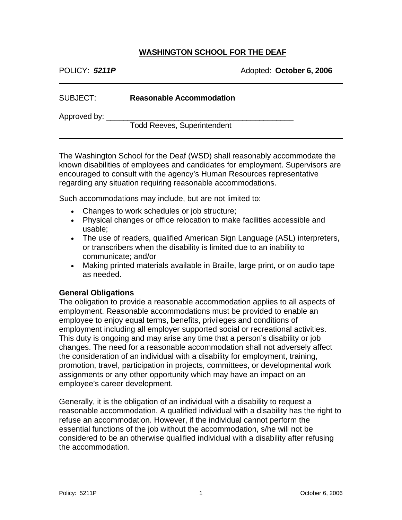#### **WASHINGTON SCHOOL FOR THE DEAF**

| POLICY: 5211P |  |  |  |
|---------------|--|--|--|
|---------------|--|--|--|

 $\overline{a}$ 

POLICY: *5211P* Adopted: **October 6, 2006** 

| SUBJECT:     | <b>Reasonable Accommodation</b>    |  |
|--------------|------------------------------------|--|
|              |                                    |  |
| Approved by: |                                    |  |
|              | <b>Todd Reeves, Superintendent</b> |  |

The Washington School for the Deaf (WSD) shall reasonably accommodate the known disabilities of employees and candidates for employment. Supervisors are encouraged to consult with the agency's Human Resources representative regarding any situation requiring reasonable accommodations.

Such accommodations may include, but are not limited to:

- Changes to work schedules or job structure;
- Physical changes or office relocation to make facilities accessible and usable;
- The use of readers, qualified American Sign Language (ASL) interpreters, or transcribers when the disability is limited due to an inability to communicate; and/or
- Making printed materials available in Braille, large print, or on audio tape as needed.

#### **General Obligations**

The obligation to provide a reasonable accommodation applies to all aspects of employment. Reasonable accommodations must be provided to enable an employee to enjoy equal terms, benefits, privileges and conditions of employment including all employer supported social or recreational activities. This duty is ongoing and may arise any time that a person's disability or job changes. The need for a reasonable accommodation shall not adversely affect the consideration of an individual with a disability for employment, training, promotion, travel, participation in projects, committees, or developmental work assignments or any other opportunity which may have an impact on an employee's career development.

Generally, it is the obligation of an individual with a disability to request a reasonable accommodation. A qualified individual with a disability has the right to refuse an accommodation. However, if the individual cannot perform the essential functions of the job without the accommodation, s/he will not be considered to be an otherwise qualified individual with a disability after refusing the accommodation.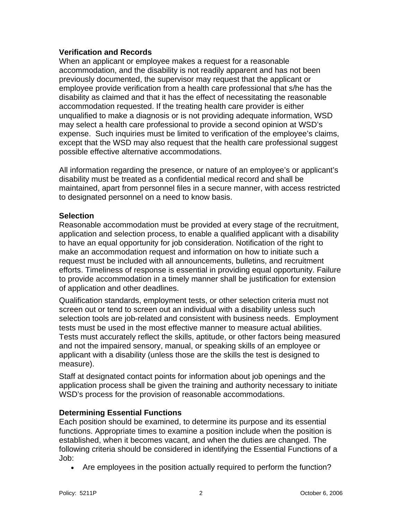## **Verification and Records**

When an applicant or employee makes a request for a reasonable accommodation, and the disability is not readily apparent and has not been previously documented, the supervisor may request that the applicant or employee provide verification from a health care professional that s/he has the disability as claimed and that it has the effect of necessitating the reasonable accommodation requested. If the treating health care provider is either unqualified to make a diagnosis or is not providing adequate information, WSD may select a health care professional to provide a second opinion at WSD's expense. Such inquiries must be limited to verification of the employee's claims, except that the WSD may also request that the health care professional suggest possible effective alternative accommodations.

All information regarding the presence, or nature of an employee's or applicant's disability must be treated as a confidential medical record and shall be maintained, apart from personnel files in a secure manner, with access restricted to designated personnel on a need to know basis.

# **Selection**

Reasonable accommodation must be provided at every stage of the recruitment, application and selection process, to enable a qualified applicant with a disability to have an equal opportunity for job consideration. Notification of the right to make an accommodation request and information on how to initiate such a request must be included with all announcements, bulletins, and recruitment efforts. Timeliness of response is essential in providing equal opportunity. Failure to provide accommodation in a timely manner shall be justification for extension of application and other deadlines.

Qualification standards, employment tests, or other selection criteria must not screen out or tend to screen out an individual with a disability unless such selection tools are job-related and consistent with business needs. Employment tests must be used in the most effective manner to measure actual abilities. Tests must accurately reflect the skills, aptitude, or other factors being measured and not the impaired sensory, manual, or speaking skills of an employee or applicant with a disability (unless those are the skills the test is designed to measure).

Staff at designated contact points for information about job openings and the application process shall be given the training and authority necessary to initiate WSD's process for the provision of reasonable accommodations.

## **Determining Essential Functions**

Each position should be examined, to determine its purpose and its essential functions. Appropriate times to examine a position include when the position is established, when it becomes vacant, and when the duties are changed. The following criteria should be considered in identifying the Essential Functions of a Job:

• Are employees in the position actually required to perform the function?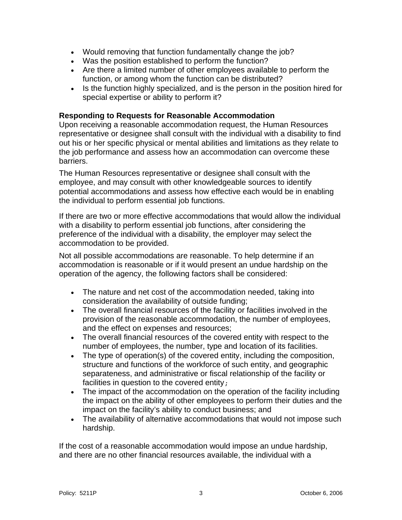- Would removing that function fundamentally change the job?
- Was the position established to perform the function?
- Are there a limited number of other employees available to perform the function, or among whom the function can be distributed?
- Is the function highly specialized, and is the person in the position hired for special expertise or ability to perform it?

## **Responding to Requests for Reasonable Accommodation**

Upon receiving a reasonable accommodation request, the Human Resources representative or designee shall consult with the individual with a disability to find out his or her specific physical or mental abilities and limitations as they relate to the job performance and assess how an accommodation can overcome these barriers.

The Human Resources representative or designee shall consult with the employee, and may consult with other knowledgeable sources to identify potential accommodations and assess how effective each would be in enabling the individual to perform essential job functions.

If there are two or more effective accommodations that would allow the individual with a disability to perform essential job functions, after considering the preference of the individual with a disability, the employer may select the accommodation to be provided.

Not all possible accommodations are reasonable. To help determine if an accommodation is reasonable or if it would present an undue hardship on the operation of the agency, the following factors shall be considered:

- The nature and net cost of the accommodation needed, taking into consideration the availability of outside funding;
- The overall financial resources of the facility or facilities involved in the provision of the reasonable accommodation, the number of employees, and the effect on expenses and resources;
- The overall financial resources of the covered entity with respect to the number of employees, the number, type and location of its facilities.
- The type of operation(s) of the covered entity, including the composition, structure and functions of the workforce of such entity, and geographic separateness, and administrative or fiscal relationship of the facility or facilities in question to the covered entity;
- The impact of the accommodation on the operation of the facility including the impact on the ability of other employees to perform their duties and the impact on the facility's ability to conduct business; and
- The availability of alternative accommodations that would not impose such hardship.

If the cost of a reasonable accommodation would impose an undue hardship, and there are no other financial resources available, the individual with a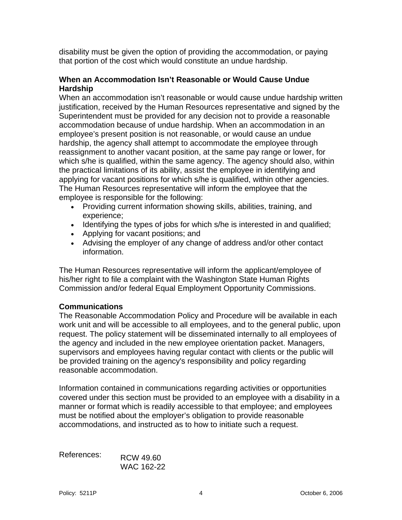disability must be given the option of providing the accommodation, or paying that portion of the cost which would constitute an undue hardship.

## **When an Accommodation Isn't Reasonable or Would Cause Undue Hardship**

When an accommodation isn't reasonable or would cause undue hardship written justification, received by the Human Resources representative and signed by the Superintendent must be provided for any decision not to provide a reasonable accommodation because of undue hardship. When an accommodation in an employee's present position is not reasonable, or would cause an undue hardship, the agency shall attempt to accommodate the employee through reassignment to another vacant position, at the same pay range or lower, for which s/he is qualified, within the same agency. The agency should also, within the practical limitations of its ability, assist the employee in identifying and applying for vacant positions for which s/he is qualified, within other agencies. The Human Resources representative will inform the employee that the employee is responsible for the following:

- Providing current information showing skills, abilities, training, and experience;
- Identifying the types of jobs for which s/he is interested in and qualified;
- Applying for vacant positions; and
- Advising the employer of any change of address and/or other contact information.

The Human Resources representative will inform the applicant/employee of his/her right to file a complaint with the Washington State Human Rights Commission and/or federal Equal Employment Opportunity Commissions.

## **Communications**

The Reasonable Accommodation Policy and Procedure will be available in each work unit and will be accessible to all employees, and to the general public, upon request. The policy statement will be disseminated internally to all employees of the agency and included in the new employee orientation packet. Managers, supervisors and employees having regular contact with clients or the public will be provided training on the agency's responsibility and policy regarding reasonable accommodation.

Information contained in communications regarding activities or opportunities covered under this section must be provided to an employee with a disability in a manner or format which is readily accessible to that employee; and employees must be notified about the employer's obligation to provide reasonable accommodations, and instructed as to how to initiate such a request.

| References: | RCW 49.60  |
|-------------|------------|
|             | WAC 162-22 |